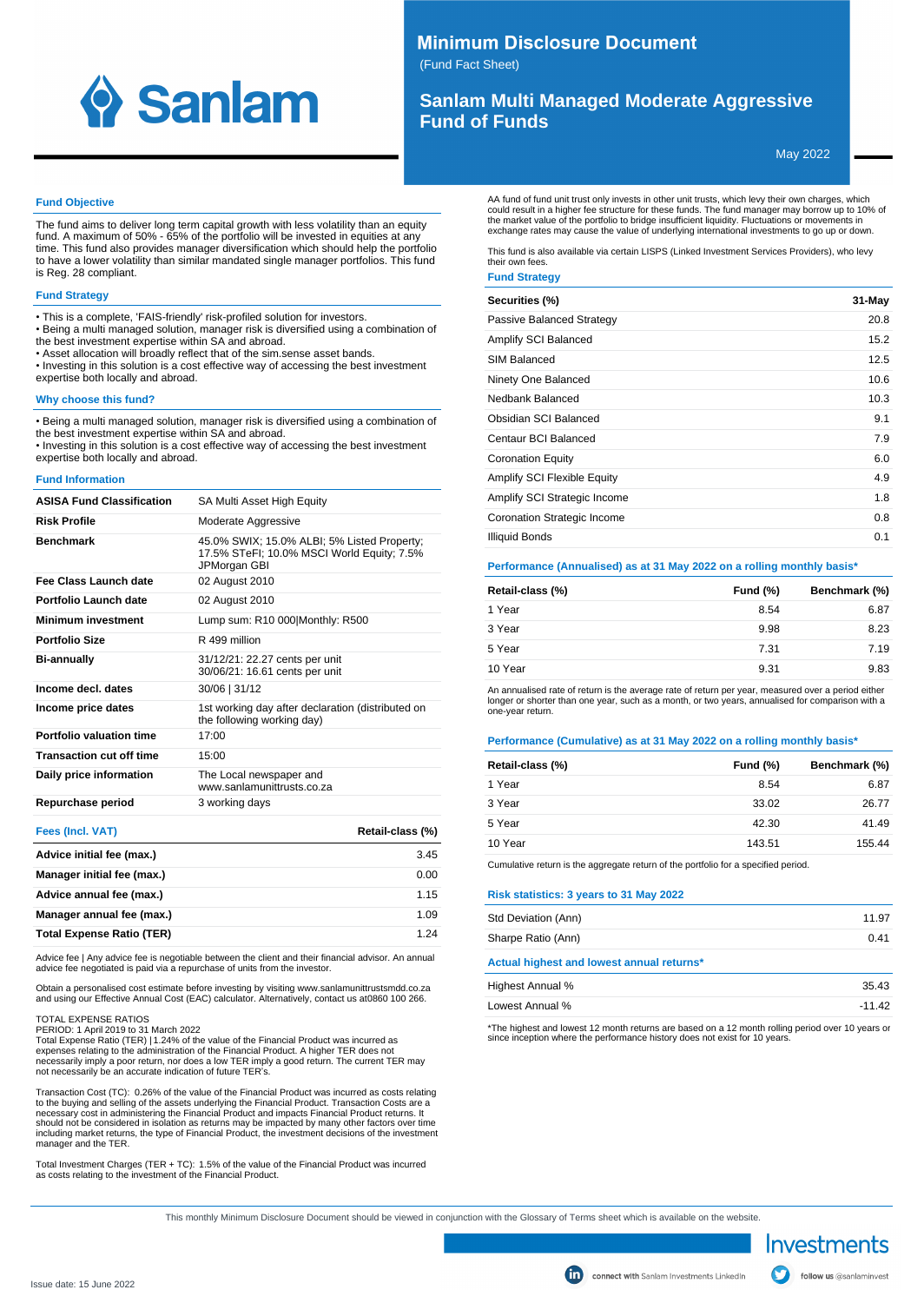

# **Minimum Disclosure Document**

(Fund Fact Sheet)

# **Sanlam Multi Managed Moderate Aggressive Fund of Funds**

May 2022

### **Fund Objective**

The fund aims to deliver long term capital growth with less volatility than an equity fund. A maximum of 50% - 65% of the portfolio will be invested in equities at any time. This fund also provides manager diversification which should help the portfolio to have a lower volatility than similar mandated single manager portfolios. This fund is Reg. 28 compliant.

## **Fund Strategy**

- This is a complete, 'FAIS-friendly' risk-profiled solution for investors.
- Being a multi managed solution, manager risk is diversified using a combination of
- the best investment expertise within SA and abroad.
- Asset allocation will broadly reflect that of the sim.sense asset bands.
- Investing in this solution is a cost effective way of accessing the best investment expertise both locally and abroad.

### **Why choose this fund?**

• Being a multi managed solution, manager risk is diversified using a combination of the best investment expertise within SA and abroad.

• Investing in this solution is a cost effective way of accessing the best investment expertise both locally and abroad.

#### **Fund Information**

| <b>ASISA Fund Classification</b> | SA Multi Asset High Equity                                                                                |
|----------------------------------|-----------------------------------------------------------------------------------------------------------|
| <b>Risk Profile</b>              | Moderate Aggressive                                                                                       |
| <b>Benchmark</b>                 | 45.0% SWIX; 15.0% ALBI; 5% Listed Property;<br>17.5% STeFI; 10.0% MSCI World Equity; 7.5%<br>JPMorgan GBI |
| Fee Class Launch date            | 02 August 2010                                                                                            |
| Portfolio Launch date            | 02 August 2010                                                                                            |
| <b>Minimum investment</b>        | Lump sum: R10 000 Monthly: R500                                                                           |
| <b>Portfolio Size</b>            | R 499 million                                                                                             |
| <b>Bi-annually</b>               | 31/12/21: 22.27 cents per unit<br>30/06/21: 16.61 cents per unit                                          |
| Income decl. dates               | 30/06   31/12                                                                                             |
| Income price dates               | 1st working day after declaration (distributed on<br>the following working day)                           |
| Portfolio valuation time         | 17:00                                                                                                     |
| <b>Transaction cut off time</b>  | 15:00                                                                                                     |
| Daily price information          | The Local newspaper and<br>www sanlamunittrusts co za                                                     |
| Repurchase period                | 3 working days                                                                                            |
| $F = -1$ $F = 1$ $MAT$           | $B = 1 - 11 - 12 = 1011$                                                                                  |

| <b>Fees (Incl. VAT)</b>          | Retail-class (%) |
|----------------------------------|------------------|
| Advice initial fee (max.)        | 3.45             |
| Manager initial fee (max.)       | 0.00             |
| Advice annual fee (max.)         | 1.15             |
| Manager annual fee (max.)        | 1.09             |
| <b>Total Expense Ratio (TER)</b> | 1 24             |

Advice fee | Any advice fee is negotiable between the client and their financial advisor. An annual advice fee negotiated is paid via a repurchase of units from the investor.

Obtain a personalised cost estimate before investing by visiting www.sanlamunittrustsmdd.co.za and using our Effective Annual Cost (EAC) calculator. Alternatively, contact us at 0860 100 266.

### TOTAL EXPENSE RATIOS

PERIOD: 1 April 2019 to 31 March 2022

Total Expense Ratio (TER) | 1.24% of the value of the Financial Product was incurred as<br>expenses relating to the administration of the Financial Product. A higher TER does not<br>necessarily imply a poor return, nor does a lo not necessarily be an accurate indication of future TER's.

Transaction Cost (TC): 0.26% of the value of the Financial Product was incurred as costs relating to the buying and selling of the assets underlying the Financial Product. Transaction Costs are a necessary cost in administering the Financial Product and impacts Financial Product returns. It should not be considered in isolation as returns may be impacted by many other factors over time including market returns, the type of Financial Product, the investment decisions of the investment manager and the TER.

Total Investment Charges (TER + TC): 1.5% of the value of the Financial Product was incurred as costs relating to the investment of the Financial Product.

AA fund of fund unit trust only invests in other unit trusts, which levy their own charges, which could result in a higher fee structure for these funds. The fund manager may borrow up to 10% of<br>the market value of the portfolio to bridge insufficient liquidity. Fluctuations or movements in<br>exchange rates may cause the

This fund is also available via certain LISPS (Linked Investment Services Providers), who levy their own fees.

## **Fund Strategy**

| Securities (%)               | $31-May$ |
|------------------------------|----------|
| Passive Balanced Strategy    | 20.8     |
| Amplify SCI Balanced         | 15.2     |
| SIM Balanced                 | 12.5     |
| Ninety One Balanced          | 10.6     |
| Nedbank Balanced             | 10.3     |
| Obsidian SCI Balanced        | 9.1      |
| Centaur BCI Balanced         | 7.9      |
| <b>Coronation Equity</b>     | 6.0      |
| Amplify SCI Flexible Equity  | 4.9      |
| Amplify SCI Strategic Income | 1.8      |
| Coronation Strategic Income  | 0.8      |
| <b>Illiquid Bonds</b>        | 0.1      |

**Performance (Annualised) as at 31 May 2022 on a rolling monthly basis\***

| Retail-class (%) | Fund (%) | Benchmark (%) |
|------------------|----------|---------------|
| 1 Year           | 8.54     | 6.87          |
| 3 Year           | 9.98     | 8.23          |
| 5 Year           | 7.31     | 7.19          |
| 10 Year          | 9.31     | 9.83          |

An annualised rate of return is the average rate of return per year, measured over a period either longer or shorter than one year, such as a month, or two years, annualised for comparison with a one-year return.

### **Performance (Cumulative) as at 31 May 2022 on a rolling monthly basis\***

| Retail-class (%) | <b>Fund (%)</b> | Benchmark (%) |
|------------------|-----------------|---------------|
| 1 Year           | 8.54            | 6.87          |
| 3 Year           | 33.02           | 26.77         |
| 5 Year           | 42.30           | 41.49         |
| 10 Year          | 143.51          | 155.44        |
|                  |                 |               |

Cumulative return is the aggregate return of the portfolio for a specified period.

### **Risk statistics: 3 years to 31 May 2022**

| Std Deviation (Ann)                       | 11.97 |
|-------------------------------------------|-------|
| Sharpe Ratio (Ann)                        | 0.41  |
| Actual highest and lowest annual returns* |       |

| Highest Annual % | 35.43    |
|------------------|----------|
| Lowest Annual %  | $-11.42$ |

\*The highest and lowest 12 month returns are based on a 12 month rolling period over 10 years or since inception where the performance history does not exist for 10 years.

This monthly Minimum Disclosure Document should be viewed in conjunction with the Glossary of Terms sheet which is available on the website.